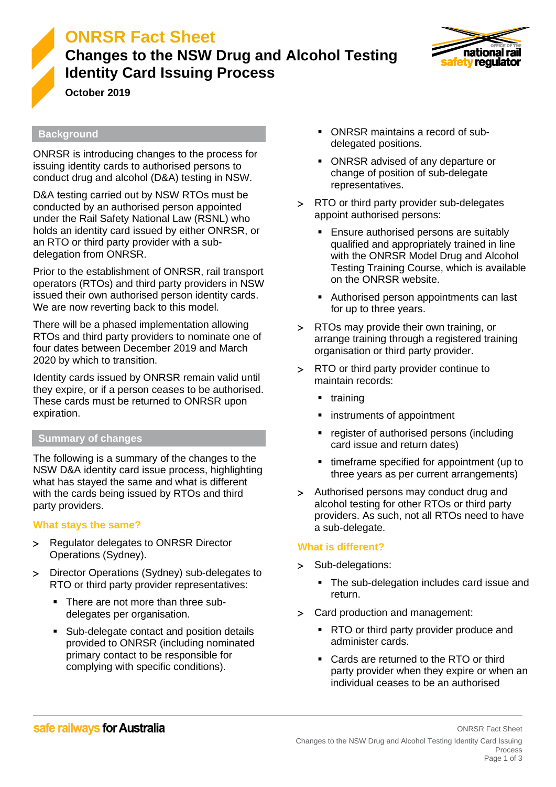

# **ONRSR Fact Sheet**

## **Changes to the NSW Drug and Alcohol Testing Identity Card Issuing Process**



**October 2019**

#### **Background**

ONRSR is introducing changes to the process for issuing identity cards to authorised persons to conduct drug and alcohol (D&A) testing in NSW.

D&A testing carried out by NSW RTOs must be conducted by an authorised person appointed under the Rail Safety National Law (RSNL) who holds an identity card issued by either ONRSR, or an RTO or third party provider with a subdelegation from ONRSR.

Prior to the establishment of ONRSR, rail transport operators (RTOs) and third party providers in NSW issued their own authorised person identity cards. We are now reverting back to this model.

There will be a phased implementation allowing RTOs and third party providers to nominate one of four dates between December 2019 and March 2020 by which to transition.

Identity cards issued by ONRSR remain valid until they expire, or if a person ceases to be authorised. These cards must be returned to ONRSR upon expiration.

#### **Summary of changes**

The following is a summary of the changes to the NSW D&A identity card issue process, highlighting what has stayed the same and what is different with the cards being issued by RTOs and third party providers.

#### **What stays the same?**

- > Regulator delegates to ONRSR Director Operations (Sydney).
- > Director Operations (Sydney) sub-delegates to RTO or third party provider representatives:
	- There are not more than three subdelegates per organisation.
	- Sub-delegate contact and position details provided to ONRSR (including nominated primary contact to be responsible for complying with specific conditions).
- ONRSR maintains a record of subdelegated positions.
- ONRSR advised of any departure or change of position of sub-delegate representatives.
- > RTO or third party provider sub-delegates appoint authorised persons:
	- Ensure authorised persons are suitably qualified and appropriately trained in line with the ONRSR Model Drug and Alcohol Testing Training Course, which is available on the ONRSR website.
	- Authorised person appointments can last for up to three years.
- RTOs may provide their own training, or arrange training through a registered training organisation or third party provider.
- RTO or third party provider continue to maintain records:
	- training
	- instruments of appointment
	- register of authorised persons (including card issue and return dates)
	- timeframe specified for appointment (up to three years as per current arrangements)
- Authorised persons may conduct drug and alcohol testing for other RTOs or third party providers. As such, not all RTOs need to have a sub-delegate.

#### **What is different?**

- > Sub-delegations:
	- The sub-delegation includes card issue and return.
- Card production and management:
	- RTO or third party provider produce and administer cards.
	- Cards are returned to the RTO or third party provider when they expire or when an individual ceases to be an authorised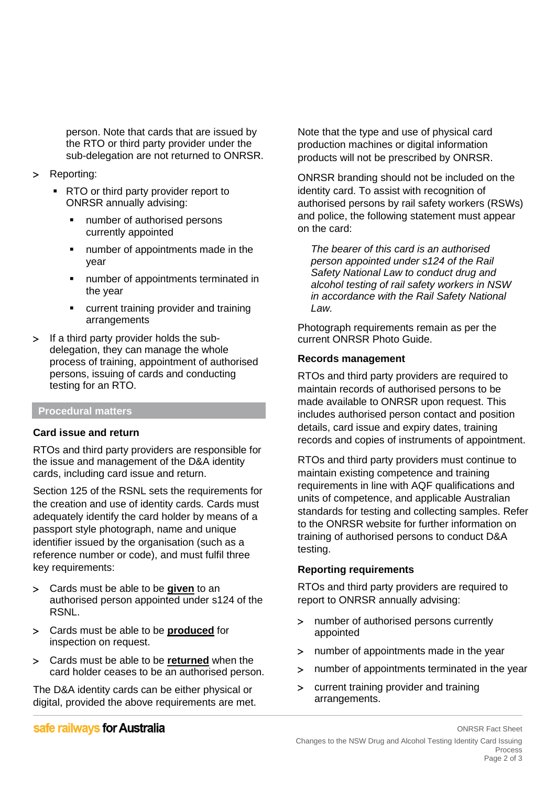person. Note that cards that are issued by the RTO or third party provider under the sub-delegation are not returned to ONRSR.

- > Reporting:
	- RTO or third party provider report to ONRSR annually advising:
		- number of authorised persons currently appointed
		- number of appointments made in the year
		- number of appointments terminated in the year
		- current training provider and training arrangements
- If a third party provider holds the subdelegation, they can manage the whole process of training, appointment of authorised persons, issuing of cards and conducting testing for an RTO.

#### **Procedural matters**

#### **Card issue and return**

RTOs and third party providers are responsible for the issue and management of the D&A identity cards, including card issue and return.

Section 125 of the RSNL sets the requirements for the creation and use of identity cards. Cards must adequately identify the card holder by means of a passport style photograph, name and unique identifier issued by the organisation (such as a reference number or code), and must fulfil three key requirements:

- Cards must be able to be **given** to an authorised person appointed under s124 of the RSNL.
- Cards must be able to be **produced** for inspection on request.
- Cards must be able to be **returned** when the card holder ceases to be an authorised person.

The D&A identity cards can be either physical or digital, provided the above requirements are met. Note that the type and use of physical card production machines or digital information products will not be prescribed by ONRSR.

ONRSR branding should not be included on the identity card. To assist with recognition of authorised persons by rail safety workers (RSWs) and police, the following statement must appear on the card:

*The bearer of this card is an authorised person appointed under s124 of the Rail Safety National Law to conduct drug and alcohol testing of rail safety workers in NSW in accordance with the Rail Safety National Law.*

Photograph requirements remain as per the current ONRSR Photo Guide.

#### **Records management**

RTOs and third party providers are required to maintain records of authorised persons to be made available to ONRSR upon request. This includes authorised person contact and position details, card issue and expiry dates, training records and copies of instruments of appointment.

RTOs and third party providers must continue to maintain existing competence and training requirements in line with AQF qualifications and units of competence, and applicable Australian standards for testing and collecting samples. Refer to the ONRSR website for further information on training of authorised persons to conduct D&A testing.

#### **Reporting requirements**

RTOs and third party providers are required to report to ONRSR annually advising:

- number of authorised persons currently appointed
- number of appointments made in the year
- number of appointments terminated in the year
- current training provider and training arrangements.

### safe railways for Australia